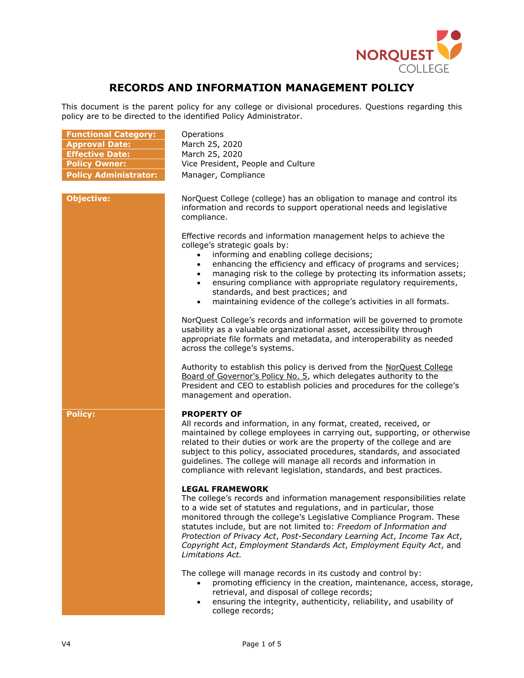

# **RECORDS AND INFORMATION MANAGEMENT POLICY**

This document is the parent policy for any college or divisional procedures. Questions regarding this policy are to be directed to the identified Policy Administrator.

| <b>Functional Category:</b><br><b>Approval Date:</b><br><b>Effective Date:</b><br><b>Policy Owner:</b><br><b>Policy Administrator:</b> | Operations<br>March 25, 2020<br>March 25, 2020<br>Vice President, People and Culture<br>Manager, Compliance                                                                                                                                                                                                                                                                                                                                                                                                                                                                                                                                            |
|----------------------------------------------------------------------------------------------------------------------------------------|--------------------------------------------------------------------------------------------------------------------------------------------------------------------------------------------------------------------------------------------------------------------------------------------------------------------------------------------------------------------------------------------------------------------------------------------------------------------------------------------------------------------------------------------------------------------------------------------------------------------------------------------------------|
| <b>Objective:</b>                                                                                                                      | NorQuest College (college) has an obligation to manage and control its<br>information and records to support operational needs and legislative<br>compliance.<br>Effective records and information management helps to achieve the<br>college's strategic goals by:<br>informing and enabling college decisions;<br>$\bullet$<br>enhancing the efficiency and efficacy of programs and services;<br>$\bullet$<br>managing risk to the college by protecting its information assets;<br>ensuring compliance with appropriate regulatory requirements,<br>$\bullet$<br>standards, and best practices; and                                                |
|                                                                                                                                        | maintaining evidence of the college's activities in all formats.<br>$\bullet$<br>NorQuest College's records and information will be governed to promote<br>usability as a valuable organizational asset, accessibility through<br>appropriate file formats and metadata, and interoperability as needed<br>across the college's systems.<br>Authority to establish this policy is derived from the NorQuest College<br>Board of Governor's Policy No. 5, which delegates authority to the<br>President and CEO to establish policies and procedures for the college's<br>management and operation.                                                     |
| <b>Policy:</b>                                                                                                                         | <b>PROPERTY OF</b><br>All records and information, in any format, created, received, or<br>maintained by college employees in carrying out, supporting, or otherwise<br>related to their duties or work are the property of the college and are<br>subject to this policy, associated procedures, standards, and associated<br>quidelines. The college will manage all records and information in<br>compliance with relevant legislation, standards, and best practices.<br><b>LEGAL FRAMEWORK</b><br>The college's records and information management responsibilities relate<br>to a wide set of statutes and regulations, and in particular, those |
|                                                                                                                                        | monitored through the college's Legislative Compliance Program. These<br>statutes include, but are not limited to: Freedom of Information and<br>Protection of Privacy Act, Post-Secondary Learning Act, Income Tax Act,<br>Copyright Act, Employment Standards Act, Employment Equity Act, and<br>Limitations Act.<br>The college will manage records in its custody and control by:<br>promoting efficiency in the creation, maintenance, access, storage,<br>retrieval, and disposal of college records;<br>ensuring the integrity, authenticity, reliability, and usability of<br>college records;                                                 |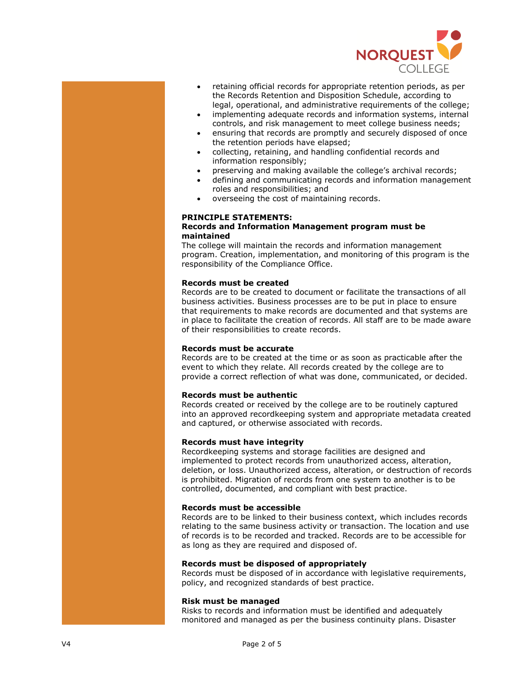

- retaining official records for appropriate retention periods, as per the Records Retention and Disposition Schedule, according to legal, operational, and administrative requirements of the college;
- implementing adequate records and information systems, internal controls, and risk management to meet college business needs;
- ensuring that records are promptly and securely disposed of once the retention periods have elapsed;
- collecting, retaining, and handling confidential records and information responsibly;
- preserving and making available the college's archival records;
- defining and communicating records and information management roles and responsibilities; and
- overseeing the cost of maintaining records.

# **PRINCIPLE STATEMENTS:**

#### **Records and Information Management program must be maintained**

The college will maintain the records and information management program. Creation, implementation, and monitoring of this program is the responsibility of the Compliance Office.

# **Records must be created**

Records are to be created to document or facilitate the transactions of all business activities. Business processes are to be put in place to ensure that requirements to make records are documented and that systems are in place to facilitate the creation of records. All staff are to be made aware of their responsibilities to create records.

# **Records must be accurate**

Records are to be created at the time or as soon as practicable after the event to which they relate. All records created by the college are to provide a correct reflection of what was done, communicated, or decided.

## **Records must be authentic**

Records created or received by the college are to be routinely captured into an approved recordkeeping system and appropriate metadata created and captured, or otherwise associated with records.

## **Records must have integrity**

Recordkeeping systems and storage facilities are designed and implemented to protect records from unauthorized access, alteration, deletion, or loss. Unauthorized access, alteration, or destruction of records is prohibited. Migration of records from one system to another is to be controlled, documented, and compliant with best practice.

#### **Records must be accessible**

Records are to be linked to their business context, which includes records relating to the same business activity or transaction. The location and use of records is to be recorded and tracked. Records are to be accessible for as long as they are required and disposed of.

## **Records must be disposed of appropriately**

Records must be disposed of in accordance with legislative requirements, policy, and recognized standards of best practice.

#### **Risk must be managed**

Risks to records and information must be identified and adequately monitored and managed as per the business continuity plans. Disaster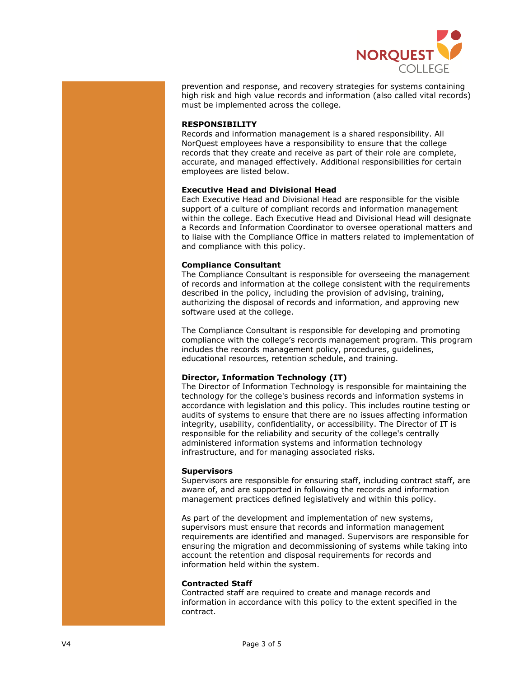

prevention and response, and recovery strategies for systems containing high risk and high value records and information (also called vital records) must be implemented across the college.

## **RESPONSIBILITY**

Records and information management is a shared responsibility. All NorQuest employees have a responsibility to ensure that the college records that they create and receive as part of their role are complete, accurate, and managed effectively. Additional responsibilities for certain employees are listed below.

# **Executive Head and Divisional Head**

Each Executive Head and Divisional Head are responsible for the visible support of a culture of compliant records and information management within the college. Each Executive Head and Divisional Head will designate a Records and Information Coordinator to oversee operational matters and to liaise with the Compliance Office in matters related to implementation of and compliance with this policy.

# **Compliance Consultant**

The Compliance Consultant is responsible for overseeing the management of records and information at the college consistent with the requirements described in the policy, including the provision of advising, training, authorizing the disposal of records and information, and approving new software used at the college.

The Compliance Consultant is responsible for developing and promoting compliance with the college's records management program. This program includes the records management policy, procedures, guidelines, educational resources, retention schedule, and training.

# **Director, Information Technology (IT)**

The Director of Information Technology is responsible for maintaining the technology for the college's business records and information systems in accordance with legislation and this policy. This includes routine testing or audits of systems to ensure that there are no issues affecting information integrity, usability, confidentiality, or accessibility. The Director of IT is responsible for the reliability and security of the college's centrally administered information systems and information technology infrastructure, and for managing associated risks.

## **Supervisors**

Supervisors are responsible for ensuring staff, including contract staff, are aware of, and are supported in following the records and information management practices defined legislatively and within this policy.

As part of the development and implementation of new systems, supervisors must ensure that records and information management requirements are identified and managed. Supervisors are responsible for ensuring the migration and decommissioning of systems while taking into account the retention and disposal requirements for records and information held within the system.

# **Contracted Staff**

Contracted staff are required to create and manage records and information in accordance with this policy to the extent specified in the contract.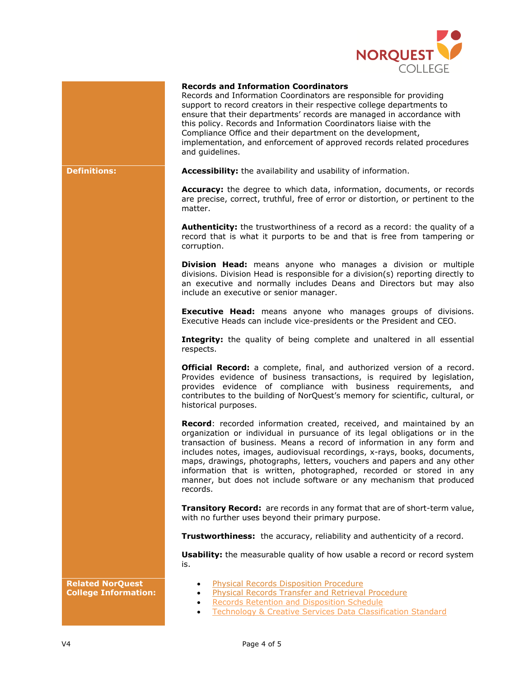

## **Records and Information Coordinators**

Records and Information Coordinators are responsible for providing support to record creators in their respective college departments to ensure that their departments' records are managed in accordance with this policy. Records and Information Coordinators liaise with the Compliance Office and their department on the development, implementation, and enforcement of approved records related procedures and guidelines.

**Definitions: Accessibility:** the availability and usability of information.

**Accuracy:** the degree to which data, information, documents, or records are precise, correct, truthful, free of error or distortion, or pertinent to the matter.

**Authenticity:** the trustworthiness of a record as a record: the quality of a record that is what it purports to be and that is free from tampering or corruption.

**Division Head:** means anyone who manages a division or multiple divisions. Division Head is responsible for a division(s) reporting directly to an executive and normally includes Deans and Directors but may also include an executive or senior manager.

**Executive Head:** means anyone who manages groups of divisions. Executive Heads can include vice-presidents or the President and CEO.

**Integrity:** the quality of being complete and unaltered in all essential respects.

**Official Record:** a complete, final, and authorized version of a record. Provides evidence of business transactions, is required by legislation, provides evidence of compliance with business requirements, and contributes to the building of NorQuest's memory for scientific, cultural, or historical purposes.

**Record**: recorded information created, received, and maintained by an organization or individual in pursuance of its legal obligations or in the transaction of business. Means a record of information in any form and includes notes, images, audiovisual recordings, x-rays, books, documents, maps, drawings, photographs, letters, vouchers and papers and any other information that is written, photographed, recorded or stored in any manner, but does not include software or any mechanism that produced records.

**Transitory Record:** are records in any format that are of short-term value, with no further uses beyond their primary purpose.

**Trustworthiness:** the accuracy, reliability and authenticity of a record.

**Usability:** the measurable quality of how usable a record or record system is.

- **Related NorQuest College Information:**
- [Physical Records Disposition Procedure](https://www.norquest.ca/about-us/policies-procedures/operations/records-management-policy/physical-records-disposition-procedure.aspx)
- [Physical Records Transfer and Retrieval Procedure](https://www.norquest.ca/about-us/policies-procedures/operations/records-management-policy/physical-records-transfer-and-retrieval-procedure.aspx)
	- **[Records Retention and Disposition Schedule](https://theq.norquest.ca/cms/getfile/d8fad3b3-243b-4883-91cc-3a290bd6101f/Retention-and-Disposition-Schedule.aspx?latestfordocid=59585&hash=5f00bced6dff6a8b1a4460edde08790d08c00c055ee3b0f0158b104fa942fb58&chset=6646bcd9-6052-4aa4-ac4c-4eceda03fa62)**
	- **[Technology & Creative Services Data Classification Standard](https://theq.norquest.ca/cms/getfile/72dd1476-e29e-415a-9169-070e9fd220c4/STANDARD-Data-Classification-v1-0s.aspx?latestfordocid=48417&hash=819aeee713020bee805c724842d7076065578fae54277def5db4b78a867721ca&chset=d5c54dda-6546-4ec9-a6c6-33e86c4b49a8)**